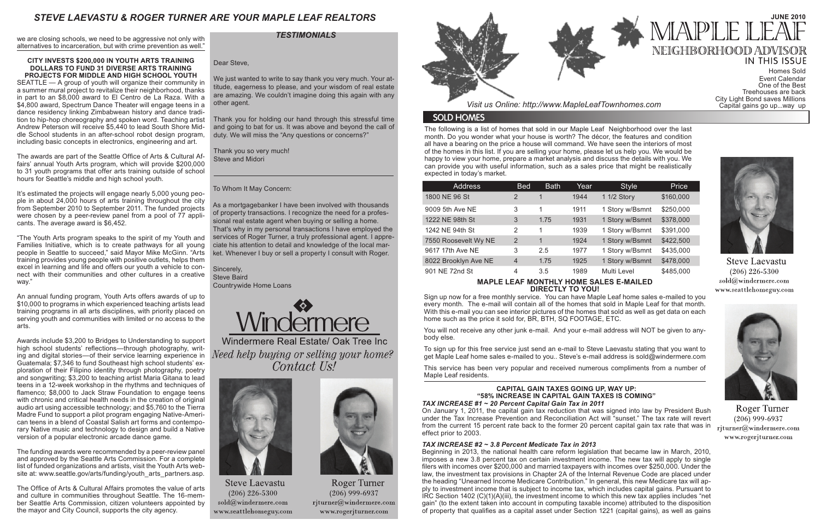The following is a list of homes that sold in our Maple Leaf Neighborhood over the last month. Do you wonder what your house is worth? The décor, the features and condition all have a bearing on the price a house will command. We have seen the interiors of most of the homes in this list. If you are selling your home, please let us help you. We would be happy to view your home, prepare a market analysis and discuss the details with you. We can provide you with useful information, such as a sales price that might be realistically expected in today's market.

*Visit us Online: http://www.MapleLeafTownhomes.com*

## **SOLD HOMES**

# *STEVE LAEVASTU & ROGER TURNER ARE YOUR MAPLE LEAF REALTORS*

### **MAPLE LEAF MONTHLY HOME SALES E-MAILED DIRECTLY TO YOU!**

Sign up now for a free monthly service. You can have Maple Leaf home sales e-mailed to you every month. The e-mail will contain all of the homes that sold in Maple Leaf for that month. With this e-mail you can see interior pictures of the homes that sold as well as get data on each home such as the price it sold for, BR, BTH, SQ FOOTAGE, ETC.

You will not receive any other junk e-mail. And your e-mail address will NOT be given to anybody else.

To sign up for this free service just send an e-mail to Steve Laevastu stating that you want to get Maple Leaf home sales e-mailed to you.. Steve's e-mail address is sold@windermere.com

This service has been very popular and received numerous compliments from a number of Maple Leaf residents.

| <b>Address</b>       | <b>Bed</b>     | <b>Bath</b> | Year | <b>Style</b>    | Price     |
|----------------------|----------------|-------------|------|-----------------|-----------|
| 1800 NE 96 St        | 2              | 1           | 1944 | 1 1/2 Story     | \$160,000 |
| 9009 5th Ave NE      | 3              | 1           | 1911 | 1 Story w/Bsmnt | \$250,000 |
| 1222 NE 98th St      | 3              | 1.75        | 1931 | 1 Story w/Bsmnt | \$378,000 |
| 1242 NE 94th St      | 2              | 1           | 1939 | 1 Story w/Bsmnt | \$391,000 |
| 7550 Roosevelt Wy NE | $\overline{2}$ | 1           | 1924 | 1 Story w/Bsmnt | \$422,500 |
| 9617 17th Ave NE     | 3              | 2.5         | 1977 | 1 Story w/Bsmnt | \$435,000 |
| 8022 Brooklyn Ave NE | $\overline{4}$ | 1.75        | 1925 | 1 Story w/Bsmnt | \$478,000 |
| 901 NE 72nd St       | 4              | 3.5         | 1989 | Multi Level     | \$485,000 |

# **CAPITAL GAIN TAXES GOING UP, WAY UP: "58% INCREASE IN CAPITAL GAIN TAXES IS COMING"**

*TAX INCREASE #1 ~ 20 Percent Capital Gain Tax in 2011* On January 1, 2011, the capital gain tax reduction that was signed into law by President Bush under the Tax Increase Prevention and Reconciliation Act will "sunset." The tax rate will revert from the current 15 percent rate back to the former 20 percent capital gain tax rate that was in effect prior to 2003.

### *TAX INCREASE #2 ~ 3.8 Percent Medicate Tax in 2013*

Beginning in 2013, the national health care reform legislation that became law in March, 2010, imposes a new 3.8 percent tax on certain investment income. The new tax will apply to single filers with incomes over \$200,000 and married taxpayers with incomes over \$250,000. Under the law, the investment tax provisions in Chapter 2A of the Internal Revenue Code are placed under the heading "Unearned Income Medicare Contribution." In general, this new Medicare tax will apply to investment income that is subject to income tax, which includes capital gains. Pursuant to IRC Section 1402 (C)(1)(A)(iii), the investment income to which this new tax applies includes "net gain" (to the extent taken into account in computing taxable income) attributed to the disposition of property that qualifies as a capital asset under Section 1221 (capital gains), as well as gains

# **JUNE 2010** 1API F NEIGHBORHOOD ADV **IN THIS ISSUE**

The funding awards were recommended by a peer-review panel and approved by the Seattle Arts Commission. For a complete list of funded organizations and artists, visit the Youth Arts website at: www.seattle.gov/arts/funding/youth\_arts\_partners.asp.

we are closing schools, we need to be aggressive not only with alternatives to incarceration, but with crime prevention as well."

#### **CITY INVESTS \$200,000 IN YOUTH ARTS TRAINING DOLLARS TO FUND 31 DIVERSE ARTS TRAINING PROJECTS FOR MIDDLE AND HIGH SCHOOL YOUTH**

We just wanted to write to say thank you very much. Your attitude, eagerness to please, and your wisdom of real estate are amazing. We couldn't imagine doing this again with any other agent.

SEATTLE — A group of youth will organize their community in a summer mural project to revitalize their neighborhood, thanks in part to an \$8,000 award to El Centro de La Raza. With a \$4,800 award, Spectrum Dance Theater will engage teens in a dance residency linking Zimbabwean history and dance tradition to hip-hop choreography and spoken word. Teaching artist Andrew Peterson will receive \$5,440 to lead South Shore Middle School students in an after-school robot design program, including basic concepts in electronics, engineering and art.

The awards are part of the Seattle Office of Arts & Cultural Affairs' annual Youth Arts program, which will provide \$200,000 to 31 youth programs that offer arts training outside of school hours for Seattle's middle and high school youth.

It's estimated the projects will engage nearly 5,000 young people in about 24,000 hours of arts training throughout the city from September 2010 to September 2011. The funded projects were chosen by a peer-review panel from a pool of 77 applicants. The average award is \$6,452.

"The Youth Arts program speaks to the spirit of my Youth and Families Initiative, which is to create pathways for all young people in Seattle to succeed," said Mayor Mike McGinn. "Arts training provides young people with positive outlets, helps them excel in learning and life and offers our youth a vehicle to connect with their communities and other cultures in a creative way."

An annual funding program, Youth Arts offers awards of up to \$10,000 to programs in which experienced teaching artists lead training programs in all arts disciplines, with priority placed on serving youth and communities with limited or no access to the arts.

Awards include \$3,200 to Bridges to Understanding to support high school students' reflections—through photography, writing and digital stories—of their service learning experience in Guatemala; \$7,346 to fund Southeast high school students' exploration of their Filipino identity through photography, poetry and songwriting; \$3,200 to teaching artist Maria Gitana to lead teens in a 12-week workshop in the rhythms and techniques of flamenco; \$8,000 to Jack Straw Foundation to engage teens with chronic and critical health needs in the creation of original audio art using accessible technology; and \$5,760 to the Tierra Madre Fund to support a pilot program engaging Native-American teens in a blend of Coastal Salish art forms and contemporary Native music and technology to design and build a Native version of a popular electronic arcade dance game.

The Office of Arts & Cultural Affairs promotes the value of arts and culture in communities throughout Seattle. The 16-member Seattle Arts Commission, citizen volunteers appointed by the mayor and City Council, supports the city agency.

To Whom It May Concern:

As a mortgagebanker I have been involved with thousands of property transactions. I recognize the need for a professional real estate agent when buying or selling a home. That's why in my personal transactions I have employed the services of Roger Turner, a truly professional agent. I appreciate his attention to detail and knowledge of the local market. Whenever I buy or sell a property I consult with Roger.

Sincerely, Steve Baird Countrywide Home Loans



Windermere Real Estate/ Oak Tree Inc Need help buying or selling your home? Contact Us!



**Steve Laevastu**  $(206)$  226-5300  $\mathrm{sold}(\widehat{a})$ windermere.com www.seattlehomeguy.com



Roger Turner  $(206)$  999-6937 rjturner@windermere.com www.rogerjturner.com



### *TESTIMONIALS*

Homes Sold Event Calendar One of the Best Treehouses are back City Light Bond saves Millions Capital gains go up...way up



**Steve Laevastu**  $(206)$  226-5300 sold@windermere.com www.seattlehomeguy.com



Roger Turner  $(206)$  999-6937 rjturner@windermere.com www.rogerjturner.com

Dear Steve,

Thank you for holding our hand through this stressful time and going to bat for us. It was above and beyond the call of duty. We will miss the "Any questions or concerns?"

Thank you so very much! Steve and Midori